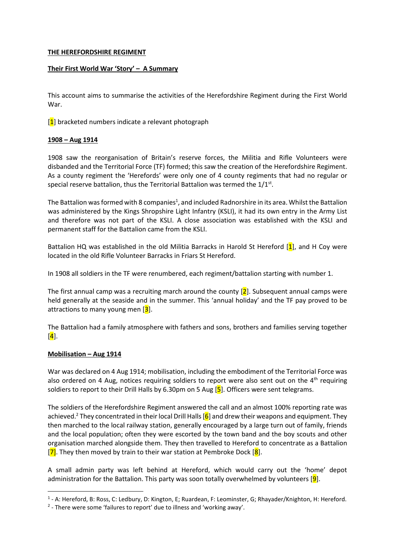# **THE HEREFORDSHIRE REGIMENT**

# **Their First World War 'Story' – A Summary**

This account aims to summarise the activities of the Herefordshire Regiment during the First World War.

 $[1]$  bracketed numbers indicate a relevant photograph

# **1908 – Aug 1914**

1908 saw the reorganisation of Britain's reserve forces, the Militia and Rifle Volunteers were disbanded and the Territorial Force (TF) formed; this saw the creation of the Herefordshire Regiment. As a county regiment the 'Herefords' were only one of 4 county regiments that had no regular or special reserve battalion, thus the Territorial Battalion was termed the  $1/1^{st}$ .

The Battalion was formed with 8 companies<sup>1</sup>, and included Radnorshire in its area. Whilst the Battalion was administered by the Kings Shropshire Light Infantry (KSLI), it had its own entry in the Army List and therefore was not part of the KSLI. A close association was established with the KSLI and permanent staff for the Battalion came from the KSLI.

Battalion HQ was established in the old Militia Barracks in Harold St Hereford  $[1]$ , and H Coy were located in the old Rifle Volunteer Barracks in Friars St Hereford.

In 1908 all soldiers in the TF were renumbered, each regiment/battalion starting with number 1.

The first annual camp was a recruiting march around the county  $[2]$ . Subsequent annual camps were held generally at the seaside and in the summer. This 'annual holiday' and the TF pay proved to be attractions to many young men  $[3]$ .

The Battalion had a family atmosphere with fathers and sons, brothers and families serving together  $\left[\overline{\textbf{4}}\right]$ .

# **Mobilisation – Aug 1914**

1

War was declared on 4 Aug 1914; mobilisation, including the embodiment of the Territorial Force was also ordered on 4 Aug, notices requiring soldiers to report were also sent out on the 4<sup>th</sup> requiring soldiers to report to their Drill Halls by 6.30pm on 5 Aug  $[5]$ . Officers were sent telegrams.

The soldiers of the Herefordshire Regiment answered the call and an almost 100% reporting rate was achieved.<sup>2</sup> They concentrated in their local Drill Halls  $[6]$  and drew their weapons and equipment. They then marched to the local railway station, generally encouraged by a large turn out of family, friends and the local population; often they were escorted by the town band and the boy scouts and other organisation marched alongside them. They then travelled to Hereford to concentrate as a Battalion  $\overline{[7]}$ . They then moved by train to their war station at Pembroke Dock  $\overline{[8]}$ .

A small admin party was left behind at Hereford, which would carry out the 'home' depot administration for the Battalion. This party was soon totally overwhelmed by volunteers [9].

<sup>&</sup>lt;sup>1</sup> - A: Hereford, B: Ross, C: Ledbury, D: Kington, E; Ruardean, F: Leominster, G; Rhayader/Knighton, H: Hereford.

<sup>&</sup>lt;sup>2</sup> - There were some 'failures to report' due to illness and 'working away'.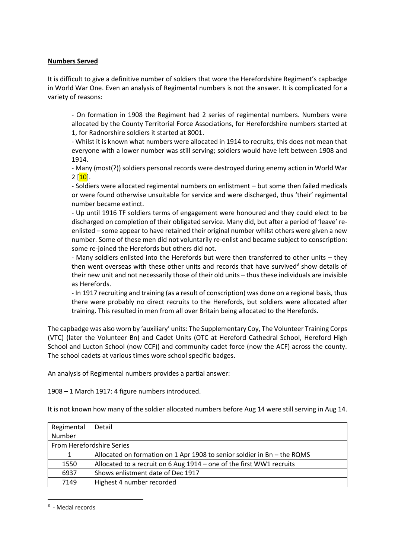## **Numbers Served**

It is difficult to give a definitive number of soldiers that wore the Herefordshire Regiment's capbadge in World War One. Even an analysis of Regimental numbers is not the answer. It is complicated for a variety of reasons:

- On formation in 1908 the Regiment had 2 series of regimental numbers. Numbers were allocated by the County Territorial Force Associations, for Herefordshire numbers started at 1, for Radnorshire soldiers it started at 8001.

- Whilst it is known what numbers were allocated in 1914 to recruits, this does not mean that everyone with a lower number was still serving; soldiers would have left between 1908 and 1914.

- Many (most(?)) soldiers personal records were destroyed during enemy action in World War  $2 \, [10]$ .

- Soldiers were allocated regimental numbers on enlistment – but some then failed medicals or were found otherwise unsuitable for service and were discharged, thus 'their' regimental number became extinct.

- Up until 1916 TF soldiers terms of engagement were honoured and they could elect to be discharged on completion of their obligated service. Many did, but after a period of 'leave' reenlisted – some appear to have retained their original number whilst others were given a new number. Some of these men did not voluntarily re-enlist and became subject to conscription: some re-joined the Herefords but others did not.

- Many soldiers enlisted into the Herefords but were then transferred to other units – they then went overseas with these other units and records that have survived<sup>3</sup> show details of their new unit and not necessarily those of their old units – thus these individuals are invisible as Herefords.

- In 1917 recruiting and training (as a result of conscription) was done on a regional basis, thus there were probably no direct recruits to the Herefords, but soldiers were allocated after training. This resulted in men from all over Britain being allocated to the Herefords.

The capbadge was also worn by 'auxiliary' units: The Supplementary Coy, The Volunteer Training Corps (VTC) (later the Volunteer Bn) and Cadet Units (OTC at Hereford Cathedral School, Hereford High School and Lucton School (now CCF)) and community cadet force (now the ACF) across the county. The school cadets at various times wore school specific badges.

An analysis of Regimental numbers provides a partial answer:

1908 – 1 March 1917: 4 figure numbers introduced.

It is not known how many of the soldier allocated numbers before Aug 14 were still serving in Aug 14.

| Regimental                | Detail                                                                  |
|---------------------------|-------------------------------------------------------------------------|
| Number                    |                                                                         |
| From Herefordshire Series |                                                                         |
| 1                         | Allocated on formation on 1 Apr 1908 to senior soldier in Bn - the RQMS |
| 1550                      | Allocated to a recruit on 6 Aug 1914 - one of the first WW1 recruits    |
| 6937                      | Shows enlistment date of Dec 1917                                       |
| 7149                      | Highest 4 number recorded                                               |

<sup>3</sup> - Medal records

**.**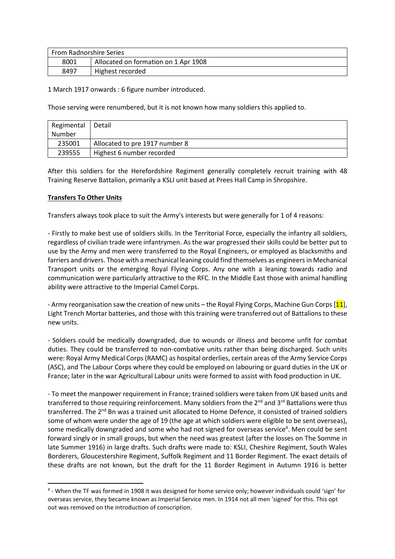| <b>From Radnorshire Series</b> |                                      |  |
|--------------------------------|--------------------------------------|--|
| 8001                           | Allocated on formation on 1 Apr 1908 |  |
| 8497                           | Highest recorded                     |  |

1 March 1917 onwards : 6 figure number introduced.

Those serving were renumbered, but it is not known how many soldiers this applied to.

| Regimental | l Detail                       |
|------------|--------------------------------|
| Number     |                                |
| 235001     | Allocated to pre 1917 number 8 |
| 239555     | Highest 6 number recorded      |

After this soldiers for the Herefordshire Regiment generally completely recruit training with 48 Training Reserve Battalion, primarily a KSLI unit based at Prees Hall Camp in Shropshire.

# **Transfers To Other Units**

**.** 

Transfers always took place to suit the Army's interests but were generally for 1 of 4 reasons:

- Firstly to make best use of soldiers skills. In the Territorial Force, especially the infantry all soldiers, regardless of civilian trade were infantrymen. As the war progressed their skills could be better put to use by the Army and men were transferred to the Royal Engineers, or employed as blacksmiths and farriers and drivers. Those with a mechanical leaning could find themselves as engineers in Mechanical Transport units or the emerging Royal Flying Corps. Any one with a leaning towards radio and communication were particularly attractive to the RFC. In the Middle East those with animal handling ability were attractive to the Imperial Camel Corps.

- Army reorganisation saw the creation of new units – the Royal Flying Corps, Machine Gun Corps [11], Light Trench Mortar batteries, and those with this training were transferred out of Battalions to these new units.

- Soldiers could be medically downgraded, due to wounds or illness and become unfit for combat duties. They could be transferred to non-combative units rather than being discharged. Such units were: Royal Army Medical Corps (RAMC) as hospital orderlies, certain areas of the Army Service Corps (ASC), and The Labour Corps where they could be employed on labouring or guard duties in the UK or France; later in the war Agricultural Labour units were formed to assist with food production in UK.

- To meet the manpower requirement in France; trained soldiers were taken from UK based units and transferred to those requiring reinforcement. Many soldiers from the  $2^{nd}$  and  $3^{rd}$  Battalions were thus transferred. The 2<sup>nd</sup> Bn was a trained unit allocated to Home Defence, it consisted of trained soldiers some of whom were under the age of 19 (the age at which soldiers were eligible to be sent overseas), some medically downgraded and some who had not signed for overseas service<sup>4</sup>. Men could be sent forward singly or in small groups, but when the need was greatest (after the losses on The Somme in late Summer 1916) in large drafts. Such drafts were made to: KSLI, Cheshire Regiment, South Wales Borderers, Gloucestershire Regiment, Suffolk Regiment and 11 Border Regiment. The exact details of these drafts are not known, but the draft for the 11 Border Regiment in Autumn 1916 is better

<sup>&</sup>lt;sup>4</sup> - When the TF was formed in 1908 it was designed for home service only; however individuals could 'sign' for overseas service, they became known as Imperial Service men. In 1914 not all men 'signed' for this. This opt out was removed on the introduction of conscription.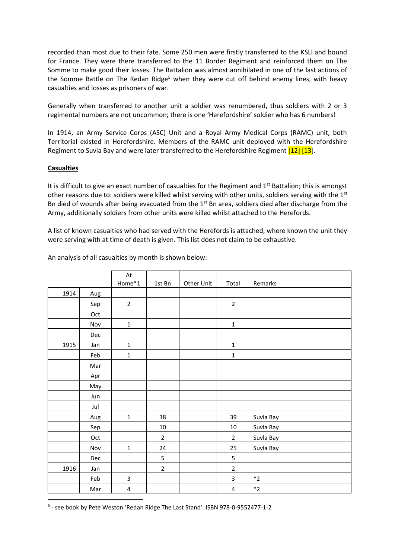recorded than most due to their fate. Some 250 men were firstly transferred to the KSLI and bound for France. They were there transferred to the 11 Border Regiment and reinforced them on The Somme to make good their losses. The Battalion was almost annihilated in one of the last actions of the Somme Battle on The Redan Ridge<sup>5</sup> when they were cut off behind enemy lines, with heavy casualties and losses as prisoners of war.

Generally when transferred to another unit a soldier was renumbered, thus soldiers with 2 or 3 regimental numbers are not uncommon; there is one 'Herefordshire' soldier who has 6 numbers!

In 1914, an Army Service Corps (ASC) Unit and a Royal Army Medical Corps (RAMC) unit, both Territorial existed in Herefordshire. Members of the RAMC unit deployed with the Herefordshire Regiment to Suvla Bay and were later transferred to the Herefordshire Regiment [12] [13].

# **Casualties**

It is difficult to give an exact number of casualties for the Regiment and 1<sup>st</sup> Battalion; this is amongst other reasons due to: soldiers were killed whilst serving with other units, soldiers serving with the 1<sup>st</sup> Bn died of wounds after being evacuated from the  $1<sup>st</sup>$  Bn area, soldiers died after discharge from the Army, additionally soldiers from other units were killed whilst attached to the Herefords.

A list of known casualties who had served with the Herefords is attached, where known the unit they were serving with at time of death is given. This list does not claim to be exhaustive.

|      |     | At             |                |            |                |                   |
|------|-----|----------------|----------------|------------|----------------|-------------------|
|      |     | Home*1         | 1st Bn         | Other Unit | Total          | Remarks           |
| 1914 | Aug |                |                |            |                |                   |
|      | Sep | $\overline{2}$ |                |            | $\overline{2}$ |                   |
|      | Oct |                |                |            |                |                   |
|      | Nov | $\mathbf 1$    |                |            | $\mathbf 1$    |                   |
|      | Dec |                |                |            |                |                   |
| 1915 | Jan | $\mathbf 1$    |                |            | $\mathbf 1$    |                   |
|      | Feb | $\mathbf 1$    |                |            | $\mathbf 1$    |                   |
|      | Mar |                |                |            |                |                   |
|      | Apr |                |                |            |                |                   |
|      | May |                |                |            |                |                   |
|      | Jun |                |                |            |                |                   |
|      | Jul |                |                |            |                |                   |
|      | Aug | $\mathbf 1$    | 38             |            | 39             | Suvla Bay         |
|      | Sep |                | $10\,$         |            | $10\,$         | Suvla Bay         |
|      | Oct |                | $\overline{2}$ |            | $\overline{2}$ | Suvla Bay         |
|      | Nov | $\mathbf 1$    | 24             |            | 25             | Suvla Bay         |
|      | Dec |                | 5              |            | 5              |                   |
| 1916 | Jan |                | $\overline{2}$ |            | $\overline{2}$ |                   |
|      | Feb | 3              |                |            | 3              | $\boldsymbol{*2}$ |
|      | Mar | 4              |                |            | 4              | $\ast_2$          |
|      |     |                |                |            |                |                   |

An analysis of all casualties by month is shown below:

5 - see book by Pete Weston 'Redan Ridge The Last Stand'. ISBN 978-0-9552477-1-2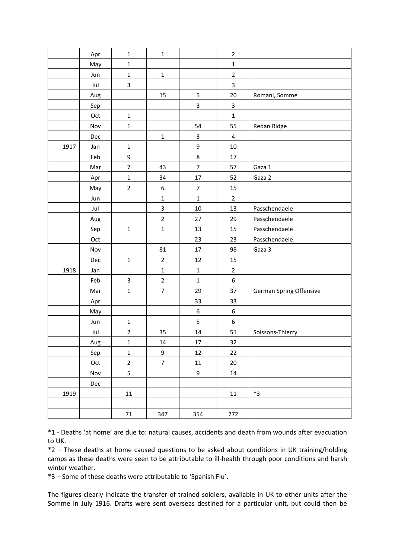|      | Apr | $\mathbf 1$      | $\mathbf 1$             |                  | $\overline{2}$          |                         |
|------|-----|------------------|-------------------------|------------------|-------------------------|-------------------------|
|      | May | $\mathbf 1$      |                         |                  | $\mathbf 1$             |                         |
|      | Jun | $\mathbf 1$      | $\mathbf 1$             |                  | $\overline{2}$          |                         |
|      | Jul | 3                |                         |                  | $\mathbf{3}$            |                         |
|      | Aug |                  | 15                      | 5                | 20                      | Romani, Somme           |
|      | Sep |                  |                         | 3                | $\overline{\mathbf{3}}$ |                         |
|      | Oct | $\mathbf 1$      |                         |                  | $\mathbf{1}$            |                         |
|      | Nov | $\mathbf 1$      |                         | 54               | 55                      | Redan Ridge             |
|      | Dec |                  | $\mathbf{1}$            | 3                | $\overline{\mathbf{4}}$ |                         |
| 1917 | Jan | $\mathbf 1$      |                         | 9                | $10\,$                  |                         |
|      | Feb | $\boldsymbol{9}$ |                         | 8                | 17                      |                         |
|      | Mar | $\overline{7}$   | 43                      | $\overline{7}$   | 57                      | Gaza 1                  |
|      | Apr | $\mathbf 1$      | 34                      | 17               | 52                      | Gaza 2                  |
|      | May | $\overline{2}$   | 6                       | $\overline{7}$   | 15                      |                         |
|      | Jun |                  | $\mathbf 1$             | $\mathbf 1$      | $\overline{2}$          |                         |
|      | Jul |                  | $\overline{\mathbf{3}}$ | $10\,$           | 13                      | Passchendaele           |
|      | Aug |                  | $\mathbf 2$             | 27               | 29                      | Passchendaele           |
|      | Sep | $\mathbf 1$      | $\mathbf 1$             | 13               | 15                      | Passchendaele           |
|      | Oct |                  |                         | 23               | 23                      | Passchendaele           |
|      | Nov |                  | 81                      | 17               | 98                      | Gaza 3                  |
|      | Dec | $\mathbf{1}$     | $\overline{2}$          | 12               | 15                      |                         |
| 1918 | Jan |                  | $\mathbf 1$             | $\mathbf 1$      | $\overline{2}$          |                         |
|      | Feb | 3                | $\overline{2}$          | $\mathbf{1}$     | $\boldsymbol{6}$        |                         |
|      | Mar | $\mathbf{1}$     | $\overline{7}$          | 29               | 37                      | German Spring Offensive |
|      | Apr |                  |                         | 33               | 33                      |                         |
|      | May |                  |                         | $\boldsymbol{6}$ | $\boldsymbol{6}$        |                         |
|      | Jun | $\mathbf 1$      |                         | 5                | 6                       |                         |
|      | Jul | $\overline{2}$   | 35                      | 14               | 51                      | Soissons-Thierry        |
|      | Aug | $\mathbf 1$      | 14                      | 17               | 32                      |                         |
|      | Sep | $\mathbf 1$      | 9                       | 12               | $22\,$                  |                         |
|      | Oct | $\overline{2}$   | $\overline{7}$          | 11               | 20                      |                         |
|      | Nov | 5                |                         | 9                | 14                      |                         |
|      | Dec |                  |                         |                  |                         |                         |
| 1919 |     | 11               |                         |                  | 11                      | $*3$                    |
|      |     |                  |                         |                  |                         |                         |
|      |     | $71\,$           | 347                     | 354              | 772                     |                         |

\*1 - Deaths 'at home' are due to: natural causes, accidents and death from wounds after evacuation to UK.

\*2 – These deaths at home caused questions to be asked about conditions in UK training/holding camps as these deaths were seen to be attributable to ill-health through poor conditions and harsh winter weather.

\*3 – Some of these deaths were attributable to 'Spanish Flu'.

The figures clearly indicate the transfer of trained soldiers, available in UK to other units after the Somme in July 1916. Drafts were sent overseas destined for a particular unit, but could then be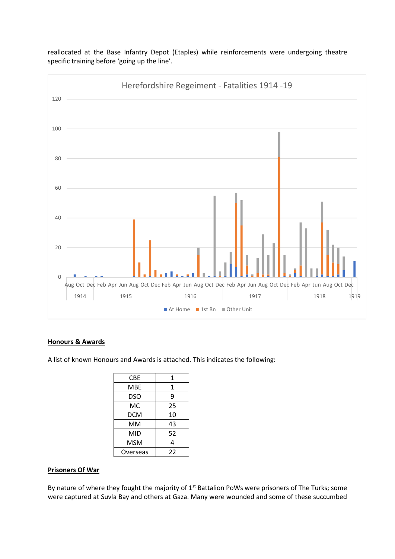

reallocated at the Base Infantry Depot (Etaples) while reinforcements were undergoing theatre specific training before 'going up the line'.

# **Honours & Awards**

A list of known Honours and Awards is attached. This indicates the following:

| CBE      | 1  |
|----------|----|
| MBE      | 1  |
| DSO      | 9  |
| МC       | 25 |
| DCM      | 10 |
| MМ       | 43 |
| MID      | 52 |
| MSM      | 4  |
| Overseas | 22 |

# **Prisoners Of War**

By nature of where they fought the majority of  $1<sup>st</sup>$  Battalion PoWs were prisoners of The Turks; some were captured at Suvla Bay and others at Gaza. Many were wounded and some of these succumbed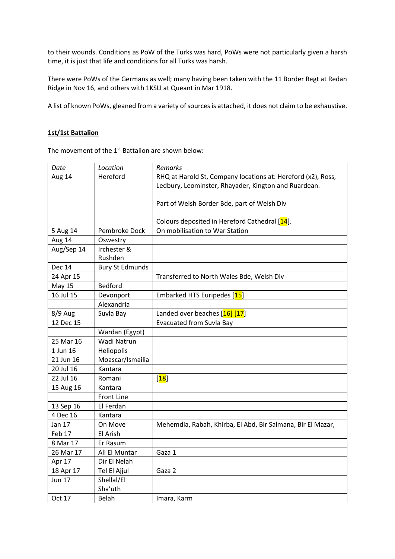to their wounds. Conditions as PoW of the Turks was hard, PoWs were not particularly given a harsh time, it is just that life and conditions for all Turks was harsh.

There were PoWs of the Germans as well; many having been taken with the 11 Border Regt at Redan Ridge in Nov 16, and others with 1KSLI at Queant in Mar 1918.

A list of known PoWs, gleaned from a variety of sources is attached, it does not claim to be exhaustive.

# **1st/1st Battalion**

The movement of the 1<sup>st</sup> Battalion are shown below:

| Date          | Location               | Remarks                                                      |
|---------------|------------------------|--------------------------------------------------------------|
| Aug 14        | Hereford               | RHQ at Harold St, Company locations at: Hereford (x2), Ross, |
|               |                        | Ledbury, Leominster, Rhayader, Kington and Ruardean.         |
|               |                        |                                                              |
|               |                        | Part of Welsh Border Bde, part of Welsh Div                  |
|               |                        |                                                              |
|               |                        | Colours deposited in Hereford Cathedral [14].                |
| 5 Aug 14      | Pembroke Dock          | On mobilisation to War Station                               |
| Aug 14        | Oswestry               |                                                              |
| Aug/Sep 14    | Irchester &            |                                                              |
|               | Rushden                |                                                              |
| <b>Dec 14</b> | <b>Bury St Edmunds</b> |                                                              |
| 24 Apr 15     |                        | Transferred to North Wales Bde, Welsh Div                    |
| <b>May 15</b> | Bedford                |                                                              |
| 16 Jul 15     | Devonport              | Embarked HTS Euripedes [15]                                  |
|               | Alexandria             |                                                              |
| 8/9 Aug       | Suvla Bay              | Landed over beaches [16] [17]                                |
| 12 Dec 15     |                        | Evacuated from Suvla Bay                                     |
|               | Wardan (Egypt)         |                                                              |
| 25 Mar 16     | Wadi Natrun            |                                                              |
| 1 Jun 16      | Heliopolis             |                                                              |
| 21 Jun 16     | Moascar/Ismailia       |                                                              |
| 20 Jul 16     | Kantara                |                                                              |
| 22 Jul 16     | Romani                 | [18]                                                         |
| 15 Aug 16     | Kantara                |                                                              |
|               | <b>Front Line</b>      |                                                              |
| 13 Sep 16     | El Ferdan              |                                                              |
| 4 Dec 16      | Kantara                |                                                              |
| Jan 17        | On Move                | Mehemdia, Rabah, Khirba, El Abd, Bir Salmana, Bir El Mazar,  |
| Feb 17        | El Arish               |                                                              |
| 8 Mar 17      | Er Rasum               |                                                              |
| 26 Mar 17     | Ali El Muntar          | Gaza 1                                                       |
| Apr 17        | Dir El Nelah           |                                                              |
| 18 Apr 17     | Tel El Ajjul           | Gaza 2                                                       |
| <b>Jun 17</b> | Shellal/El             |                                                              |
|               | Sha'uth                |                                                              |
| Oct 17        | Belah                  | Imara, Karm                                                  |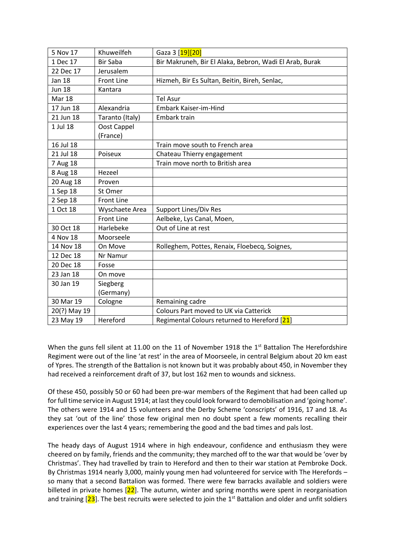| 5 Nov 17      | Khuweilfeh        | Gaza 3 [19][20]                                         |  |  |  |
|---------------|-------------------|---------------------------------------------------------|--|--|--|
| 1 Dec 17      | <b>Bir Saba</b>   | Bir Makruneh, Bir El Alaka, Bebron, Wadi El Arab, Burak |  |  |  |
| 22 Dec 17     | Jerusalem         |                                                         |  |  |  |
| <b>Jan 18</b> | <b>Front Line</b> | Hizmeh, Bir Es Sultan, Beitin, Bireh, Senlac,           |  |  |  |
| <b>Jun 18</b> | Kantara           |                                                         |  |  |  |
| Mar 18        |                   | <b>Tel Asur</b>                                         |  |  |  |
| 17 Jun 18     | Alexandria        | Embark Kaiser-im-Hind                                   |  |  |  |
| 21 Jun 18     | Taranto (Italy)   | Embark train                                            |  |  |  |
| 1 Jul 18      | Oost Cappel       |                                                         |  |  |  |
|               | (France)          |                                                         |  |  |  |
| 16 Jul 18     |                   | Train move south to French area                         |  |  |  |
| 21 Jul 18     | Poiseux           | Chateau Thierry engagement                              |  |  |  |
| 7 Aug 18      |                   | Train move north to British area                        |  |  |  |
| 8 Aug 18      | Hezeel            |                                                         |  |  |  |
| 20 Aug 18     | Proven            |                                                         |  |  |  |
| 1 Sep 18      | St Omer           |                                                         |  |  |  |
| 2 Sep 18      | <b>Front Line</b> |                                                         |  |  |  |
| 1 Oct 18      | Wyschaete Area    | Support Lines/Div Res                                   |  |  |  |
|               | <b>Front Line</b> | Aelbeke, Lys Canal, Moen,                               |  |  |  |
| 30 Oct 18     | Harlebeke         | Out of Line at rest                                     |  |  |  |
| 4 Nov 18      | Moorseele         |                                                         |  |  |  |
| 14 Nov 18     | On Move           | Rolleghem, Pottes, Renaix, Floebecq, Soignes,           |  |  |  |
| 12 Dec 18     | Nr Namur          |                                                         |  |  |  |
| 20 Dec 18     | Fosse             |                                                         |  |  |  |
| 23 Jan 18     | On move           |                                                         |  |  |  |
| 30 Jan 19     | Siegberg          |                                                         |  |  |  |
|               | (Germany)         |                                                         |  |  |  |
| 30 Mar 19     | Cologne           | Remaining cadre                                         |  |  |  |
| 20(?) May 19  |                   | Colours Part moved to UK via Catterick                  |  |  |  |
| 23 May 19     | Hereford          | Regimental Colours returned to Hereford [21]            |  |  |  |

When the guns fell silent at 11.00 on the 11 of November 1918 the 1<sup>st</sup> Battalion The Herefordshire Regiment were out of the line 'at rest' in the area of Moorseele, in central Belgium about 20 km east of Ypres. The strength of the Battalion is not known but it was probably about 450, in November they had received a reinforcement draft of 37, but lost 162 men to wounds and sickness.

Of these 450, possibly 50 or 60 had been pre-war members of the Regiment that had been called up for full time service in August 1914; at last they could look forward to demobilisation and 'going home'. The others were 1914 and 15 volunteers and the Derby Scheme 'conscripts' of 1916, 17 and 18. As they sat 'out of the line' those few original men no doubt spent a few moments recalling their experiences over the last 4 years; remembering the good and the bad times and pals lost.

The heady days of August 1914 where in high endeavour, confidence and enthusiasm they were cheered on by family, friends and the community; they marched off to the war that would be 'over by Christmas'. They had travelled by train to Hereford and then to their war station at Pembroke Dock. By Christmas 1914 nearly 3,000, mainly young men had volunteered for service with The Herefords – so many that a second Battalion was formed. There were few barracks available and soldiers were billeted in private homes  $[22]$ . The autumn, winter and spring months were spent in reorganisation and training  $[23]$ . The best recruits were selected to join the 1<sup>st</sup> Battalion and older and unfit soldiers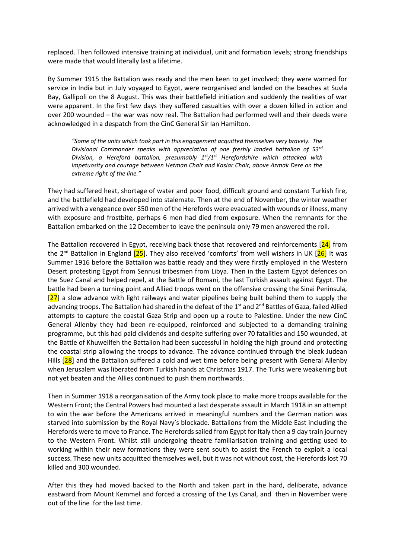replaced. Then followed intensive training at individual, unit and formation levels; strong friendships were made that would literally last a lifetime.

By Summer 1915 the Battalion was ready and the men keen to get involved; they were warned for service in India but in July voyaged to Egypt, were reorganised and landed on the beaches at Suvla Bay, Gallipoli on the 8 August. This was their battlefield initiation and suddenly the realities of war were apparent. In the first few days they suffered casualties with over a dozen killed in action and over 200 wounded – the war was now real. The Battalion had performed well and their deeds were acknowledged in a despatch from the CinC General Sir Ian Hamilton.

*"Some of the units which took part in this engagement acquitted themselves very bravely. The Divisional Commander speaks with appreciation of one freshly landed battalion of 53rd Division, a Hereford battalion, presumably 1st/1st Herefordshire which attacked with impetuosity and courage between Hetman Chair and Kaslar Chair, above Azmak Dere on the extreme right of the line."*

They had suffered heat, shortage of water and poor food, difficult ground and constant Turkish fire, and the battlefield had developed into stalemate. Then at the end of November, the winter weather arrived with a vengeance over 350 men of the Herefords were evacuated with wounds or illness, many with exposure and frostbite, perhaps 6 men had died from exposure. When the remnants for the Battalion embarked on the 12 December to leave the peninsula only 79 men answered the roll.

The Battalion recovered in Egypt, receiving back those that recovered and reinforcements  $[24]$  from the 2<sup>nd</sup> Battalion in England  $[25]$ . They also received 'comforts' from well wishers in UK  $[26]$  It was Summer 1916 before the Battalion was battle ready and they were firstly employed in the Western Desert protesting Egypt from Sennusi tribesmen from Libya. Then in the Eastern Egypt defences on the Suez Canal and helped repel, at the Battle of Romani, the last Turkish assault against Egypt. The battle had been a turning point and Allied troops went on the offensive crossing the Sinai Peninsula,  $[27]$  a slow advance with light railways and water pipelines being built behind them to supply the advancing troops. The Battalion had shared in the defeat of the 1<sup>st</sup> and 2<sup>nd</sup> Battles of Gaza, failed Allied attempts to capture the coastal Gaza Strip and open up a route to Palestine. Under the new CinC General Allenby they had been re-equipped, reinforced and subjected to a demanding training programme, but this had paid dividends and despite suffering over 70 fatalities and 150 wounded, at the Battle of Khuweilfeh the Battalion had been successful in holding the high ground and protecting the coastal strip allowing the troops to advance. The advance continued through the bleak Judean Hills [28] and the Battalion suffered a cold and wet time before being present with General Allenby when Jerusalem was liberated from Turkish hands at Christmas 1917. The Turks were weakening but not yet beaten and the Allies continued to push them northwards.

Then in Summer 1918 a reorganisation of the Army took place to make more troops available for the Western Front; the Central Powers had mounted a last desperate assault in March 1918 in an attempt to win the war before the Americans arrived in meaningful numbers and the German nation was starved into submission by the Royal Navy's blockade. Battalions from the Middle East including the Herefords were to move to France. The Herefords sailed from Egypt for Italy then a 9 day train journey to the Western Front. Whilst still undergoing theatre familiarisation training and getting used to working within their new formations they were sent south to assist the French to exploit a local success. These new units acquitted themselves well, but it was not without cost, the Herefords lost 70 killed and 300 wounded.

After this they had moved backed to the North and taken part in the hard, deliberate, advance eastward from Mount Kemmel and forced a crossing of the Lys Canal, and then in November were out of the line for the last time.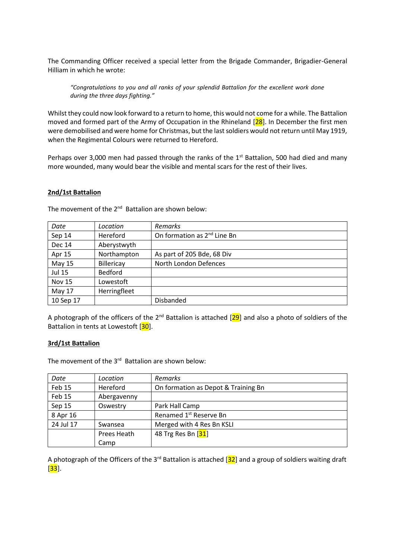The Commanding Officer received a special letter from the Brigade Commander, Brigadier-General Hilliam in which he wrote:

*"Congratulations to you and all ranks of your splendid Battalion for the excellent work done during the three days fighting."* 

Whilst they could now look forward to a return to home, this would not come for a while. The Battalion moved and formed part of the Army of Occupation in the Rhineland  $[28]$ . In December the first men were demobilised and were home for Christmas, but the last soldiers would not return until May 1919, when the Regimental Colours were returned to Hereford.

Perhaps over 3,000 men had passed through the ranks of the 1<sup>st</sup> Battalion, 500 had died and many more wounded, many would bear the visible and mental scars for the rest of their lives.

# **2nd/1st Battalion**

| Date          | Location     | <b>Remarks</b>                          |
|---------------|--------------|-----------------------------------------|
| Sep 14        | Hereford     | On formation as 2 <sup>nd</sup> Line Bn |
| <b>Dec 14</b> | Aberystwyth  |                                         |
| Apr 15        | Northampton  | As part of 205 Bde, 68 Div              |
| May 15        | Billericay   | North London Defences                   |
| <b>Jul 15</b> | Bedford      |                                         |
| <b>Nov 15</b> | Lowestoft    |                                         |
| May 17        | Herringfleet |                                         |
| 10 Sep 17     |              | Disbanded                               |

The movement of the 2<sup>nd</sup> Battalion are shown below:

A photograph of the officers of the  $2^{nd}$  Battalion is attached  $[29]$  and also a photo of soldiers of the Battalion in tents at Lowestoft [30].

# **3rd/1st Battalion**

The movement of the 3<sup>rd</sup> Battalion are shown below:

| Date      | Location    | <b>Remarks</b>                      |  |  |
|-----------|-------------|-------------------------------------|--|--|
| Feb 15    | Hereford    | On formation as Depot & Training Bn |  |  |
| Feb 15    | Abergavenny |                                     |  |  |
| Sep 15    | Oswestry    | Park Hall Camp                      |  |  |
| 8 Apr 16  |             | Renamed 1 <sup>st</sup> Reserve Bn  |  |  |
| 24 Jul 17 | Swansea     | Merged with 4 Res Bn KSLI           |  |  |
|           | Prees Heath | 48 Trg Res Bn [31]                  |  |  |
|           | Camp        |                                     |  |  |

A photograph of the Officers of the 3<sup>rd</sup> Battalion is attached [ $32$ ] and a group of soldiers waiting draft  $[33]$ .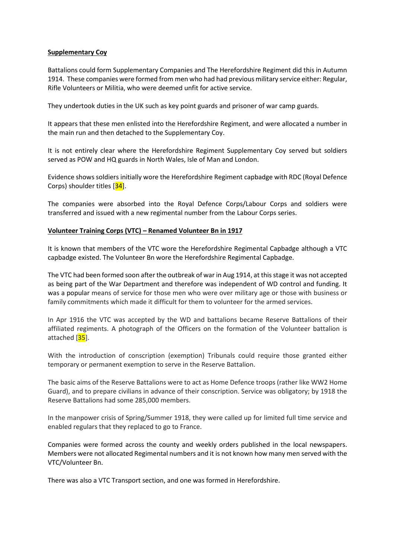# **Supplementary Coy**

Battalions could form Supplementary Companies and The Herefordshire Regiment did this in Autumn 1914. These companies were formed from men who had had previous military service either: Regular, Rifle Volunteers or Militia, who were deemed unfit for active service.

They undertook duties in the UK such as key point guards and prisoner of war camp guards.

It appears that these men enlisted into the Herefordshire Regiment, and were allocated a number in the main run and then detached to the Supplementary Coy.

It is not entirely clear where the Herefordshire Regiment Supplementary Coy served but soldiers served as POW and HQ guards in North Wales, Isle of Man and London.

Evidence shows soldiers initially wore the Herefordshire Regiment capbadge with RDC (Royal Defence Corps) shoulder titles [34].

The companies were absorbed into the Royal Defence Corps/Labour Corps and soldiers were transferred and issued with a new regimental number from the Labour Corps series.

# **Volunteer Training Corps (VTC) – Renamed Volunteer Bn in 1917**

It is known that members of the VTC wore the Herefordshire Regimental Capbadge although a VTC capbadge existed. The Volunteer Bn wore the Herefordshire Regimental Capbadge.

The VTC had been formed soon after the outbreak of war in Aug 1914, at this stage it was not accepted as being part of the War Department and therefore was independent of WD control and funding. It was a popular means of service for those men who were over military age or those with business or family commitments which made it difficult for them to volunteer for the armed services.

In Apr 1916 the VTC was accepted by the WD and battalions became Reserve Battalions of their affiliated regiments. A photograph of the Officers on the formation of the Volunteer battalion is attached [35].

With the introduction of conscription (exemption) Tribunals could require those granted either temporary or permanent exemption to serve in the Reserve Battalion.

The basic aims of the Reserve Battalions were to act as Home Defence troops (rather like WW2 Home Guard), and to prepare civilians in advance of their conscription. Service was obligatory; by 1918 the Reserve Battalions had some 285,000 members.

In the manpower crisis of Spring/Summer 1918, they were called up for limited full time service and enabled regulars that they replaced to go to France.

Companies were formed across the county and weekly orders published in the local newspapers. Members were not allocated Regimental numbers and it is not known how many men served with the VTC/Volunteer Bn.

There was also a VTC Transport section, and one was formed in Herefordshire.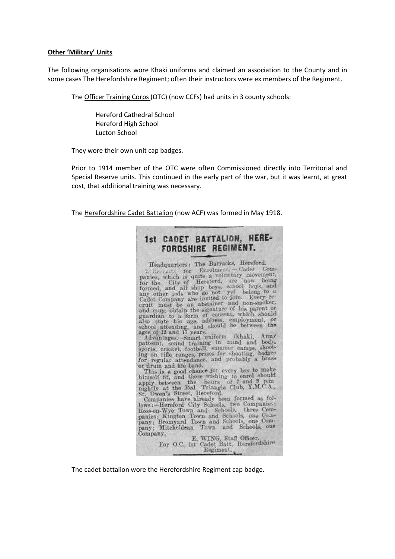#### **Other 'Military' Units**

The following organisations wore Khaki uniforms and claimed an association to the County and in some cases The Herefordshire Regiment; often their instructors were ex members of the Regiment.

The Officer Training Corps (OTC) (now CCFs) had units in 3 county schools:

Hereford Cathedral School Hereford High School Lucton School

They wore their own unit cap badges.

Prior to 1914 member of the OTC were often Commissioned directly into Territorial and Special Reserve units. This continued in the early part of the war, but it was learnt, at great cost, that additional training was necessary.

The Herefordshire Cadet Battalion (now ACF) was formed in May 1918.



The cadet battalion wore the Herefordshire Regiment cap badge.